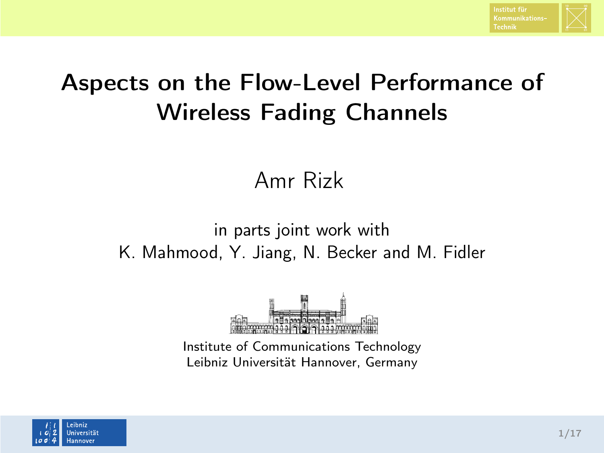

# Aspects on the Flow-Level Performance of Wireless Fading Channels

#### Amr Rizk

#### in parts joint work with K. Mahmood, Y. Jiang, N. Becker and M. Fidler



Institute of Communications Technology Leibniz Universität Hannover, Germany

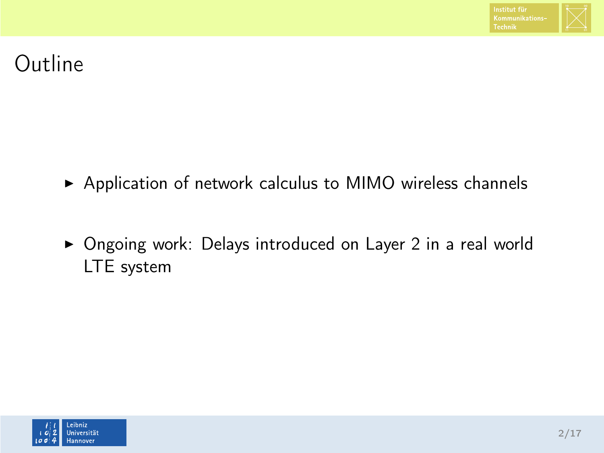

# Outline

- ▶ Application of network calculus to MIMO wireless channels
- ▶ Ongoing work: Delays introduced on Layer 2 in a real world LTE system

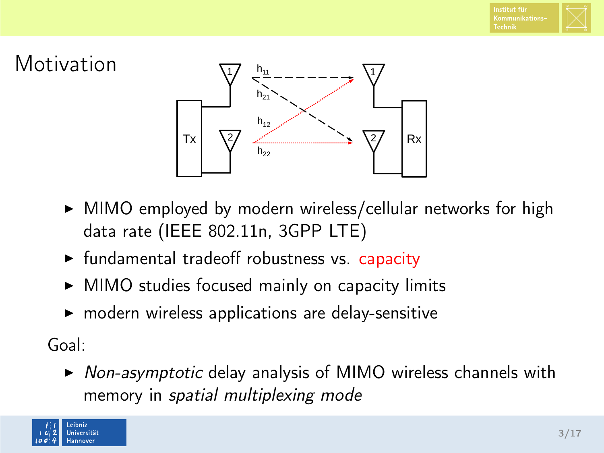



- $\triangleright$  MIMO employed by modern wireless/cellular networks for high data rate (IEEE 802.11n, 3GPP LTE)
- $\triangleright$  fundamental tradeoff robustness vs. capacity
- $\triangleright$  MIMO studies focused mainly on capacity limits
- $\blacktriangleright$  modern wireless applications are delay-sensitive

Goal:

 $\triangleright$  Non-asymptotic delay analysis of MIMO wireless channels with memory in spatial multiplexing mode

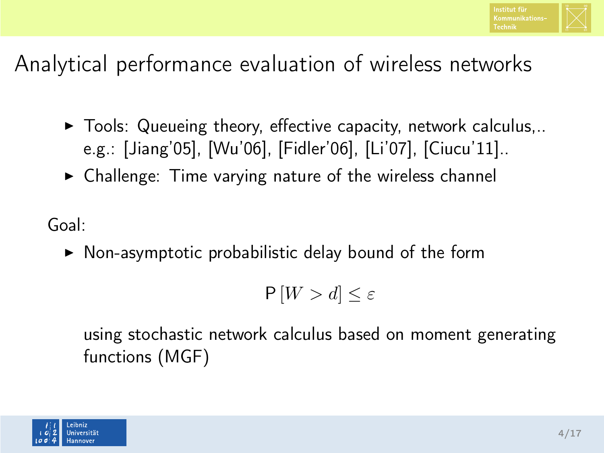

# Analytical performance evaluation of wireless networks

- $\blacktriangleright$  Tools: Queueing theory, effective capacity, network calculus,.. e.g.: [Jiang'05], [Wu'06], [Fidler'06], [Li'07], [Ciucu'11]..
- $\triangleright$  Challenge: Time varying nature of the wireless channel

Goal:

 $\triangleright$  Non-asymptotic probabilistic delay bound of the form

 $P[W > d] \leq \varepsilon$ 

using stochastic network calculus based on moment generating functions (MGF)

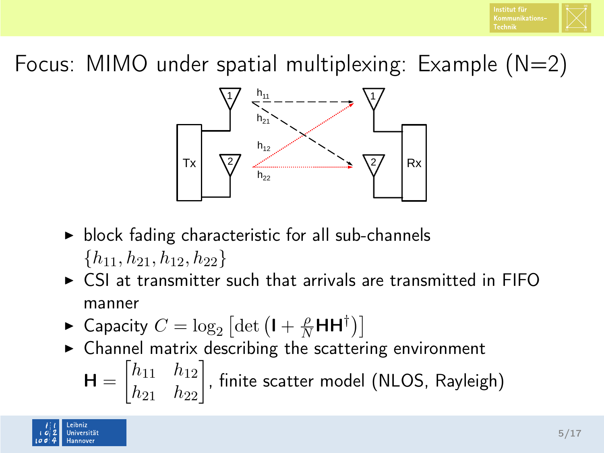

Focus: MIMO under spatial multiplexing: Example  $(N=2)$ 



- $\triangleright$  block fading characteristic for all sub-channels  ${h_{11}, h_{21}, h_{12}, h_{22}}$
- $\triangleright$  CSI at transmitter such that arrivals are transmitted in FIFO manner
- ► Capacity  $C = \log_2 \left[ \det \left( \mathbf{I} + \frac{\rho}{N} \mathbf{H} \mathbf{H}^\dagger \right) \right]$
- $\triangleright$  Channel matrix describing the scattering environment

$$
\mathbf{H} = \begin{bmatrix} h_{11} & h_{12} \\ h_{21} & h_{22} \end{bmatrix}
$$
, finite scatter model (NLOS, Rayleigh)

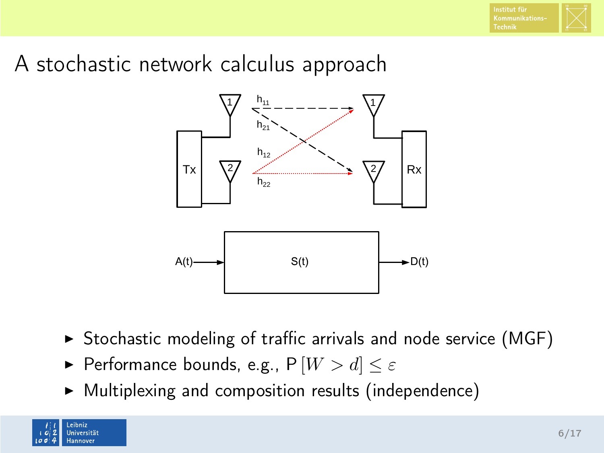# A stochastic network calculus approach



- $\triangleright$  Stochastic modeling of traffic arrivals and node service (MGF)
- Performance bounds, e.g.,  $P[W > d] \leq \varepsilon$
- $\blacktriangleright$  Multiplexing and composition results (independence)

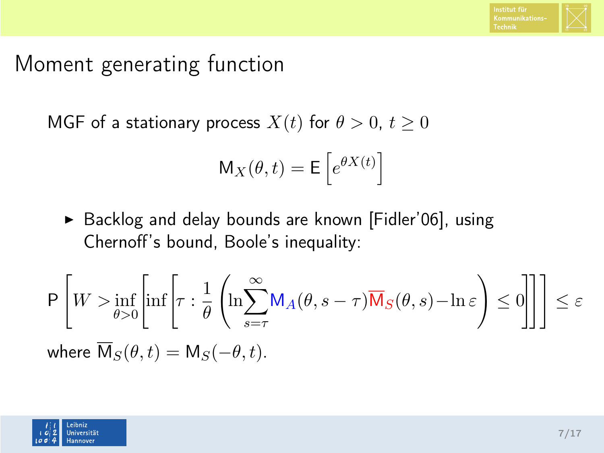

#### Moment generating function

MGF of a stationary process  $X(t)$  for  $\theta > 0$ ,  $t \ge 0$ 

$$
M_X(\theta, t) = E\left[e^{\theta X(t)}\right]
$$

▶ Backlog and delay bounds are known [Fidler'06], using Chernoff's bound, Boole's inequality:

$$
\mathsf{P}\left[W > \inf_{\theta > 0} \left[ \inf \left[ \tau : \frac{1}{\theta} \left( \ln \sum_{s=\tau}^{\infty} \mathsf{M}_A(\theta, s-\tau) \overline{\mathsf{M}}_S(\theta, s) - \ln \varepsilon \right) \leq 0 \right] \right] \right] \leq \varepsilon
$$
\nwhere

\n
$$
\overline{\mathsf{M}}_S(\theta, t) = \mathsf{M}_S(-\theta, t).
$$

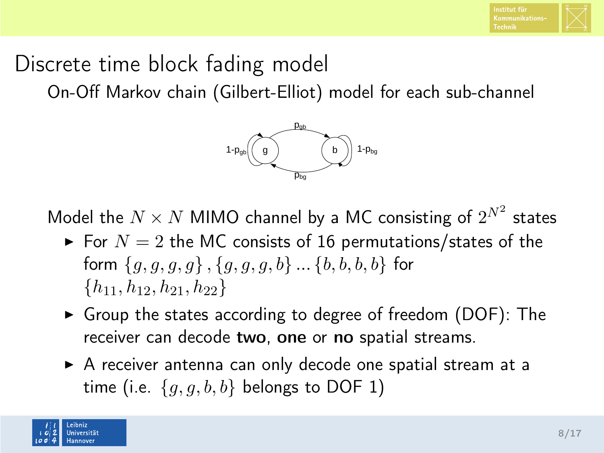

### Discrete time block fading model

On-Off Markov chain (Gilbert-Elliot) model for each sub-channel



Model the  $N\times N$  MIMO channel by a MC consisting of  $2^{N^2}$  states

- $\blacktriangleright$  For  $N = 2$  the MC consists of 16 permutations/states of the form  ${g, g, g, g}$ ,  ${g, g, g}$ ,  ${g, g, g}$ ...  ${b, b, b, b}$  for  $\{h_{11}, h_{12}, h_{21}, h_{22}\}$
- $\triangleright$  Group the states according to degree of freedom (DOF): The receiver can decode two, one or no spatial streams.
- $\triangleright$  A receiver antenna can only decode one spatial stream at a time (i.e.  $\{g, g, b, b\}$  belongs to DOF 1)

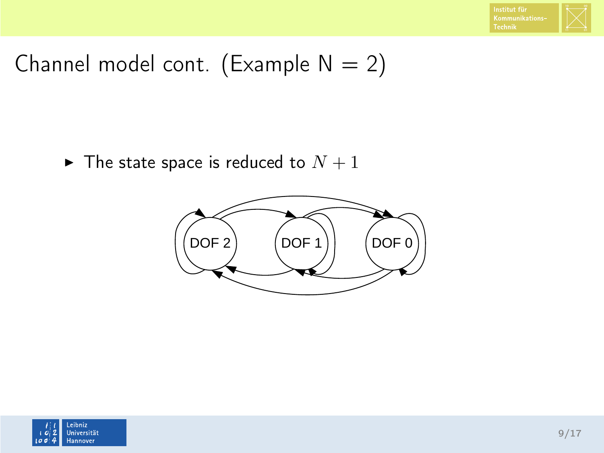

# Channel model cont. (Example  $N = 2$ )

 $\blacktriangleright$  The state space is reduced to  $N+1$ 



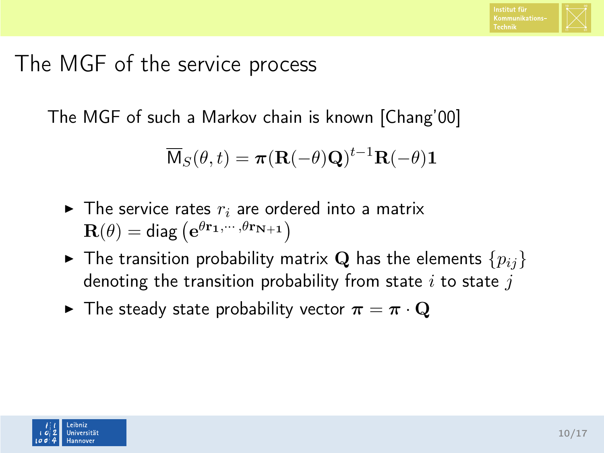

#### The MGF of the service process

The MGF of such a Markov chain is known [Chang'00]

$$
\overline{\mathsf{M}}_{S}(\theta,t) = \boldsymbol{\pi}(\mathbf{R}(-\theta)\mathbf{Q})^{t-1}\mathbf{R}(-\theta)\mathbf{1}
$$

- $\blacktriangleright$  The service rates  $r_i$  are ordered into a matrix  $\mathbf{R}(\theta) = \mathsf{diag}\left(\mathbf{e}^{\theta \mathbf{r_1}, \cdots, \theta \mathbf{r_{N+1}}}\right)$
- $\blacktriangleright$  The transition probability matrix Q has the elements  $\{p_{ij}\}$ denoting the transition probability from state  $i$  to state  $j$
- $\blacktriangleright$  The steady state probability vector  $\pi = \pi \cdot \mathbf{Q}$

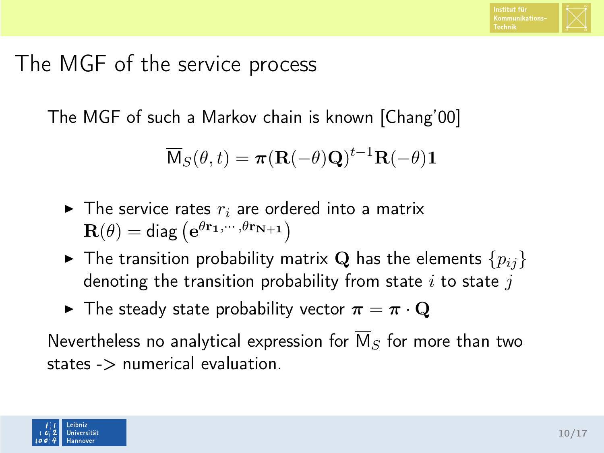

#### The MGF of the service process

The MGF of such a Markov chain is known [Chang'00]

$$
\overline{\mathsf{M}}_{S}(\theta,t) = \boldsymbol{\pi}(\mathbf{R}(-\theta)\mathbf{Q})^{t-1}\mathbf{R}(-\theta)\mathbf{1}
$$

- $\blacktriangleright$  The service rates  $r_i$  are ordered into a matrix  $\mathbf{R}(\theta) = \mathsf{diag}\left(\mathbf{e}^{\theta \mathbf{r_1}, \cdots, \theta \mathbf{r_{N+1}}}\right)$
- $\blacktriangleright$  The transition probability matrix Q has the elements  $\{p_{ij}\}$ denoting the transition probability from state  $i$  to state  $j$
- $\blacktriangleright$  The steady state probability vector  $\pi = \pi \cdot \mathbf{Q}$

Nevertheless no analytical expression for  $\overline{M}_{S}$  for more than two states -> numerical evaluation.

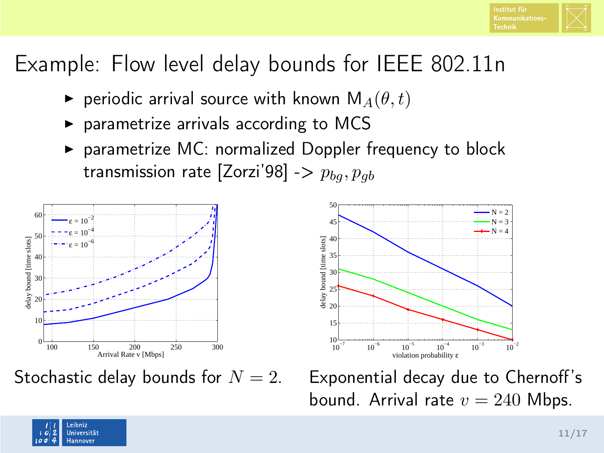

# Example: Flow level delay bounds for IEEE 802.11n

- **P** periodic arrival source with known  $M_A(\theta, t)$
- $\triangleright$  parametrize arrivals according to MCS
- $\triangleright$  parametrize MC: normalized Doppler frequency to block transmission rate [Zorzi'98] ->  $p_{ba}, p_{ab}$



Stochastic delay bounds for  $N = 2$ .



Exponential decay due to Chernoff's bound. Arrival rate  $v = 240$  Mbps.

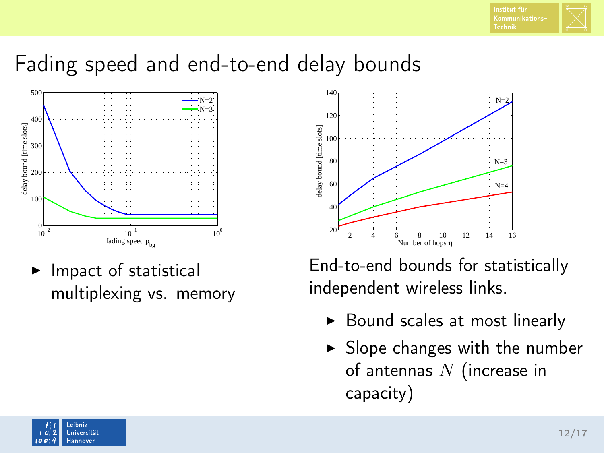#### Fading speed and end-to-end delay bounds



Impact of statistical multiplexing vs. memory



End-to-end bounds for statistically independent wireless links.

- $\triangleright$  Bound scales at most linearly
- $\blacktriangleright$  Slope changes with the number of antennas  $N$  (increase in capacity)

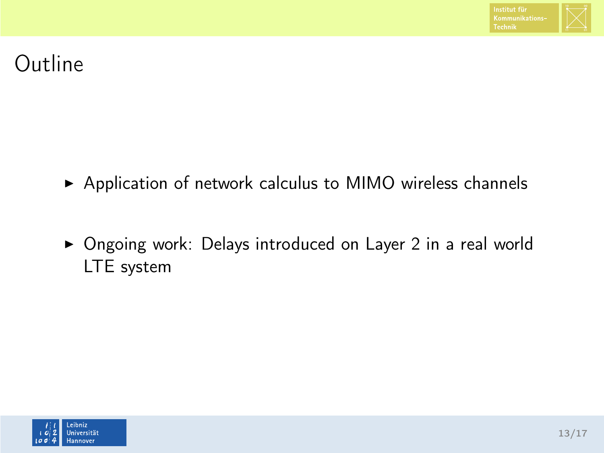

# Outline

- ▶ Application of network calculus to MIMO wireless channels
- ▶ Ongoing work: Delays introduced on Layer 2 in a real world LTE system

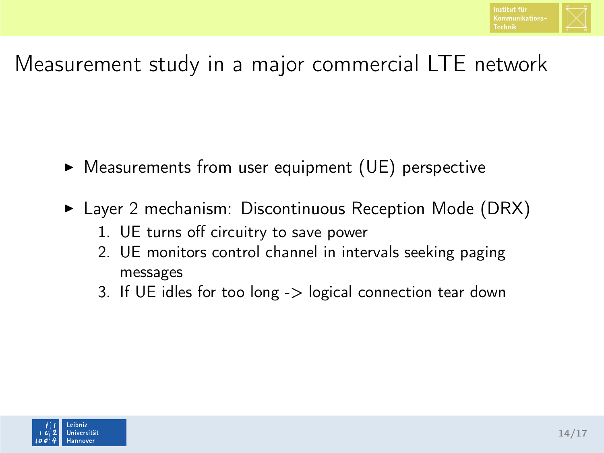

# Measurement study in a major commercial LTE network

- $\triangleright$  Measurements from user equipment (UE) perspective
- $\blacktriangleright$  Layer 2 mechanism: Discontinuous Reception Mode (DRX)
	- 1. UE turns off circuitry to save power
	- 2. UE monitors control channel in intervals seeking paging messages
	- 3. If UE idles for too long -> logical connection tear down

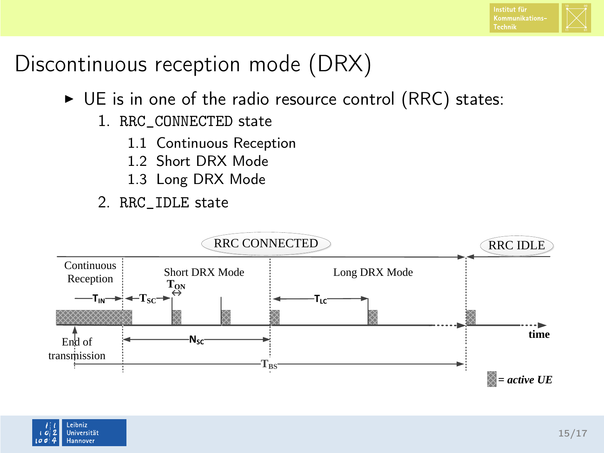# Discontinuous reception mode (DRX)

- $\triangleright$  UE is in one of the radio resource control (RRC) states:
	- 1. RRC\_CONNECTED state
		- 1.1 Continuous Reception
		- 1.2 Short DRX Mode
		- 1.3 Long DRX Mode
	- 2. RRC\_IDLE state



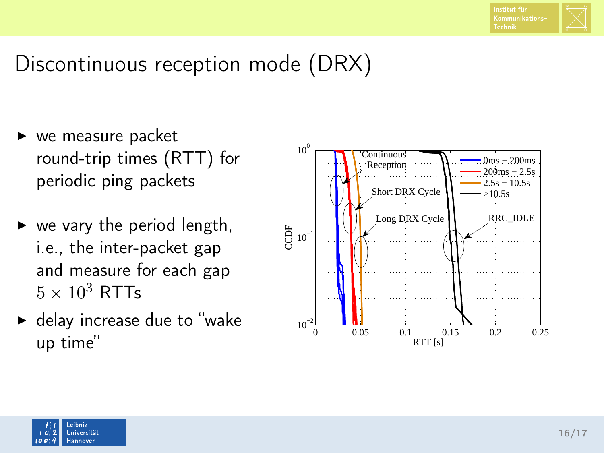

# Discontinuous reception mode (DRX)

- $\triangleright$  we measure packet round-trip times (RTT) for periodic ping packets
- $\triangleright$  we vary the period length, i.e., the inter-packet gap and measure for each gap  $5 \times 10^3$  RTTs
- $\blacktriangleright$  delay increase due to "wake up time"



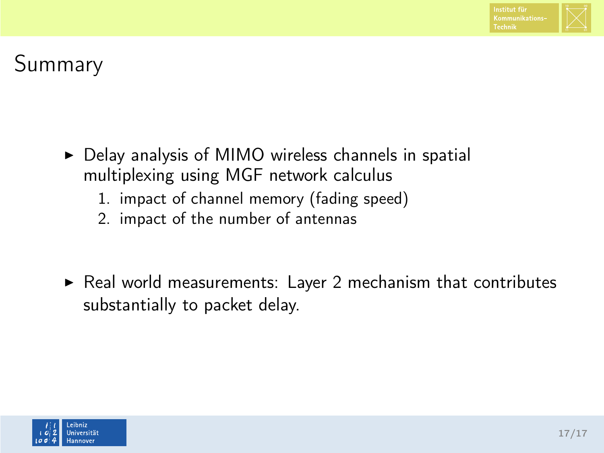

# Summary

- $\triangleright$  Delay analysis of MIMO wireless channels in spatial multiplexing using MGF network calculus
	- 1. impact of channel memory (fading speed)
	- 2. impact of the number of antennas
- $\triangleright$  Real world measurements: Layer 2 mechanism that contributes substantially to packet delay.

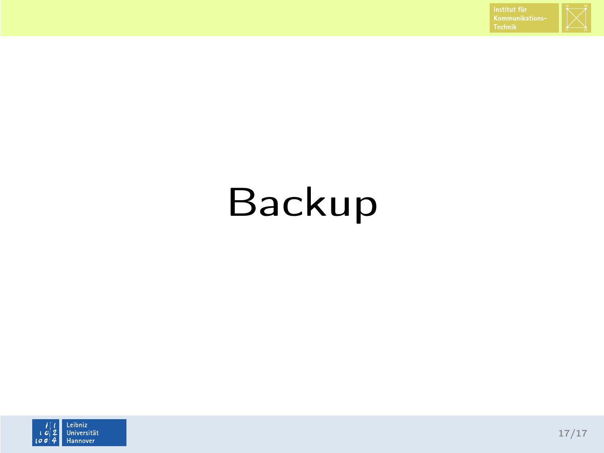

# Backup

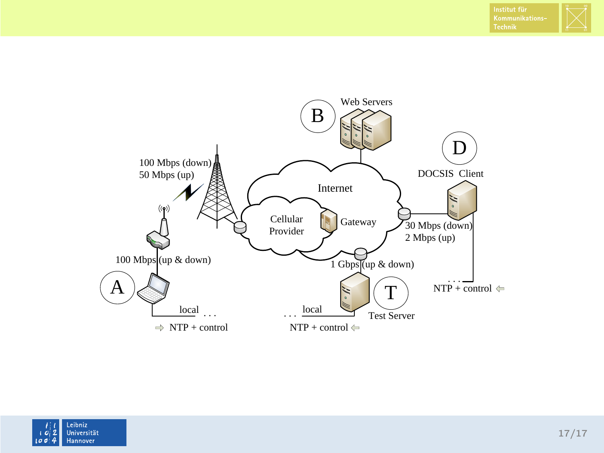